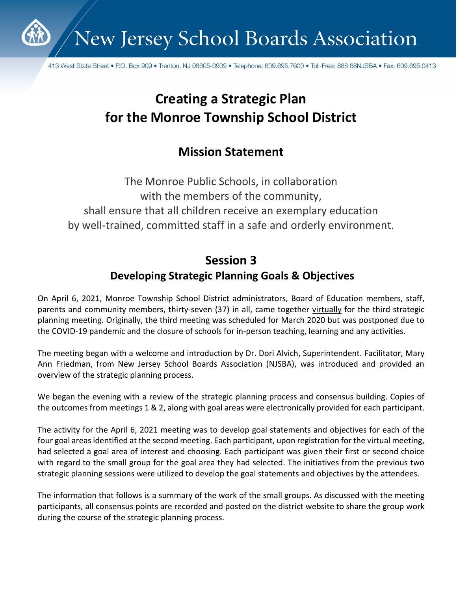

New Jersey School Boards Association

413 West State Street • P.O. Box 909 • Trenton, NJ 08605-0909 • Telephone: 609.695.7600 • Toll-Free: 888.88NJSBA • Fax: 609.695.0413

# **Creating a Strategic Plan for the Monroe Township School District**

## **Mission Statement**

The Monroe Public Schools, in collaboration with the members of the community, shall ensure that all children receive an exemplary education by well-trained, committed staff in a safe and orderly environment.

# **Session 3**

## **Developing Strategic Planning Goals & Objectives**

On April 6, 2021, Monroe Township School District administrators, Board of Education members, staff, parents and community members, thirty-seven (37) in all, came together virtually for the third strategic planning meeting. Originally, the third meeting was scheduled for March 2020 but was postponed due to the COVID-19 pandemic and the closure of schools for in-person teaching, learning and any activities.

The meeting began with a welcome and introduction by Dr. Dori Alvich, Superintendent. Facilitator, Mary Ann Friedman, from New Jersey School Boards Association (NJSBA), was introduced and provided an overview of the strategic planning process.

We began the evening with a review of the strategic planning process and consensus building. Copies of the outcomes from meetings 1 & 2, along with goal areas were electronically provided for each participant.

The activity for the April 6, 2021 meeting was to develop goal statements and objectives for each of the four goal areas identified at the second meeting. Each participant, upon registration for the virtual meeting, had selected a goal area of interest and choosing. Each participant was given their first or second choice with regard to the small group for the goal area they had selected. The initiatives from the previous two strategic planning sessions were utilized to develop the goal statements and objectives by the attendees.

The information that follows is a summary of the work of the small groups. As discussed with the meeting participants, all consensus points are recorded and posted on the district website to share the group work during the course of the strategic planning process.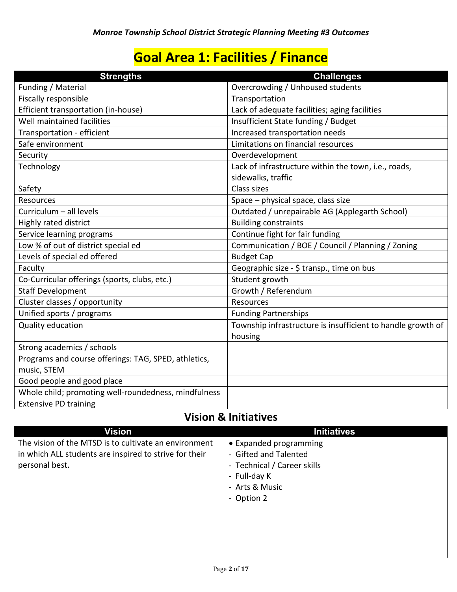# **Goal Area 1: Facilities / Finance**

| <b>Strengths</b>                                                    | <b>Challenges</b>                                                      |
|---------------------------------------------------------------------|------------------------------------------------------------------------|
| Funding / Material                                                  | Overcrowding / Unhoused students                                       |
| Fiscally responsible                                                | Transportation                                                         |
| Efficient transportation (in-house)                                 | Lack of adequate facilities; aging facilities                          |
| Well maintained facilities                                          | Insufficient State funding / Budget                                    |
| Transportation - efficient                                          | Increased transportation needs                                         |
| Safe environment                                                    | Limitations on financial resources                                     |
| Security                                                            | Overdevelopment                                                        |
| Technology                                                          | Lack of infrastructure within the town, i.e., roads,                   |
|                                                                     | sidewalks, traffic                                                     |
| Safety                                                              | Class sizes                                                            |
| <b>Resources</b>                                                    | Space - physical space, class size                                     |
| Curriculum - all levels                                             | Outdated / unrepairable AG (Applegarth School)                         |
| Highly rated district                                               | <b>Building constraints</b>                                            |
| Service learning programs                                           | Continue fight for fair funding                                        |
| Low % of out of district special ed                                 | Communication / BOE / Council / Planning / Zoning                      |
| Levels of special ed offered                                        | <b>Budget Cap</b>                                                      |
| Faculty                                                             | Geographic size - \$ transp., time on bus                              |
| Co-Curricular offerings (sports, clubs, etc.)                       | Student growth                                                         |
| <b>Staff Development</b>                                            | Growth / Referendum                                                    |
| Cluster classes / opportunity                                       | Resources                                                              |
| Unified sports / programs                                           | <b>Funding Partnerships</b>                                            |
| Quality education                                                   | Township infrastructure is insufficient to handle growth of<br>housing |
| Strong academics / schools                                          |                                                                        |
| Programs and course offerings: TAG, SPED, athletics,<br>music, STEM |                                                                        |
| Good people and good place                                          |                                                                        |
| Whole child; promoting well-roundedness, mindfulness                |                                                                        |
| <b>Extensive PD training</b>                                        |                                                                        |

## **Vision & Initiatives**

| <b>Vision</b>                                                                                                                     | <b>Initiatives</b>                                                             |
|-----------------------------------------------------------------------------------------------------------------------------------|--------------------------------------------------------------------------------|
| The vision of the MTSD is to cultivate an environment<br>in which ALL students are inspired to strive for their<br>personal best. | • Expanded programming<br>- Gifted and Talented<br>- Technical / Career skills |
|                                                                                                                                   | - Full-day K<br>- Arts & Music<br>- Option 2                                   |
|                                                                                                                                   |                                                                                |
|                                                                                                                                   |                                                                                |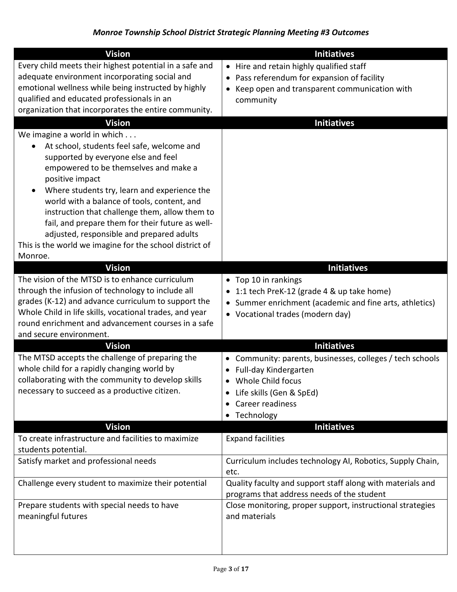| <b>Vision</b>                                                                                                                                                                                                                                                                                                                                                                                                                                                                                        | <b>Initiatives</b>                                                                                                                                                                                           |
|------------------------------------------------------------------------------------------------------------------------------------------------------------------------------------------------------------------------------------------------------------------------------------------------------------------------------------------------------------------------------------------------------------------------------------------------------------------------------------------------------|--------------------------------------------------------------------------------------------------------------------------------------------------------------------------------------------------------------|
| Every child meets their highest potential in a safe and<br>adequate environment incorporating social and<br>emotional wellness while being instructed by highly<br>qualified and educated professionals in an<br>organization that incorporates the entire community.                                                                                                                                                                                                                                | • Hire and retain highly qualified staff<br>• Pass referendum for expansion of facility<br>Keep open and transparent communication with<br>$\bullet$<br>community                                            |
| <b>Vision</b>                                                                                                                                                                                                                                                                                                                                                                                                                                                                                        | <b>Initiatives</b>                                                                                                                                                                                           |
| We imagine a world in which<br>At school, students feel safe, welcome and<br>supported by everyone else and feel<br>empowered to be themselves and make a<br>positive impact<br>Where students try, learn and experience the<br>world with a balance of tools, content, and<br>instruction that challenge them, allow them to<br>fail, and prepare them for their future as well-<br>adjusted, responsible and prepared adults<br>This is the world we imagine for the school district of<br>Monroe. |                                                                                                                                                                                                              |
| <b>Vision</b>                                                                                                                                                                                                                                                                                                                                                                                                                                                                                        | <b>Initiatives</b>                                                                                                                                                                                           |
| The vision of the MTSD is to enhance curriculum<br>through the infusion of technology to include all<br>grades (K-12) and advance curriculum to support the<br>Whole Child in life skills, vocational trades, and year<br>round enrichment and advancement courses in a safe<br>and secure environment.                                                                                                                                                                                              | • Top 10 in rankings<br>1:1 tech PreK-12 (grade 4 & up take home)<br>Summer enrichment (academic and fine arts, athletics)<br>$\bullet$<br>• Vocational trades (modern day)                                  |
| <b>Vision</b>                                                                                                                                                                                                                                                                                                                                                                                                                                                                                        | <b>Initiatives</b>                                                                                                                                                                                           |
| The MTSD accepts the challenge of preparing the<br>whole child for a rapidly changing world by<br>collaborating with the community to develop skills<br>necessary to succeed as a productive citizen.                                                                                                                                                                                                                                                                                                | Community: parents, businesses, colleges / tech schools<br>• Full-day Kindergarten<br>Whole Child focus<br>Life skills (Gen & SpEd)<br>$\bullet$<br>Career readiness<br>$\bullet$<br>Technology<br>$\bullet$ |
| <b>Vision</b>                                                                                                                                                                                                                                                                                                                                                                                                                                                                                        | <b>Initiatives</b>                                                                                                                                                                                           |
| To create infrastructure and facilities to maximize<br>students potential.<br>Satisfy market and professional needs                                                                                                                                                                                                                                                                                                                                                                                  | <b>Expand facilities</b><br>Curriculum includes technology AI, Robotics, Supply Chain,                                                                                                                       |
|                                                                                                                                                                                                                                                                                                                                                                                                                                                                                                      | etc.                                                                                                                                                                                                         |
| Challenge every student to maximize their potential<br>Prepare students with special needs to have                                                                                                                                                                                                                                                                                                                                                                                                   | Quality faculty and support staff along with materials and<br>programs that address needs of the student<br>Close monitoring, proper support, instructional strategies<br>and materials                      |
| meaningful futures                                                                                                                                                                                                                                                                                                                                                                                                                                                                                   |                                                                                                                                                                                                              |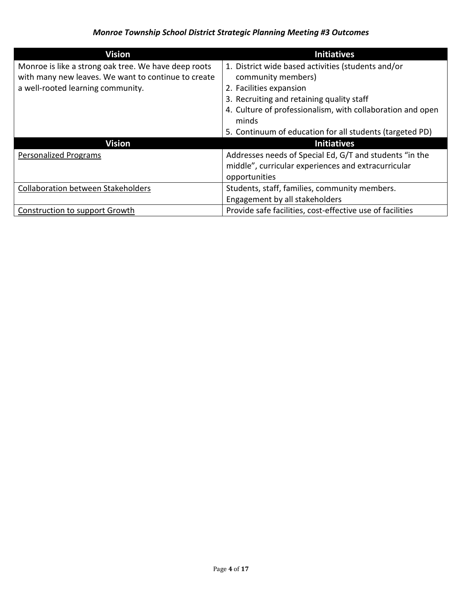| <b>Vision</b>                                        | <b>Initiatives</b>                                         |
|------------------------------------------------------|------------------------------------------------------------|
| Monroe is like a strong oak tree. We have deep roots | 1. District wide based activities (students and/or         |
| with many new leaves. We want to continue to create  | community members)                                         |
| a well-rooted learning community.                    | 2. Facilities expansion                                    |
|                                                      | 3. Recruiting and retaining quality staff                  |
|                                                      | 4. Culture of professionalism, with collaboration and open |
|                                                      | minds                                                      |
|                                                      | 5. Continuum of education for all students (targeted PD)   |
| Vision                                               | <b>Initiatives</b>                                         |
| <b>Personalized Programs</b>                         | Addresses needs of Special Ed, G/T and students "in the    |
|                                                      | middle", curricular experiences and extracurricular        |
|                                                      | opportunities                                              |
| <b>Collaboration between Stakeholders</b>            | Students, staff, families, community members.              |
|                                                      | Engagement by all stakeholders                             |
| Construction to support Growth                       | Provide safe facilities, cost-effective use of facilities  |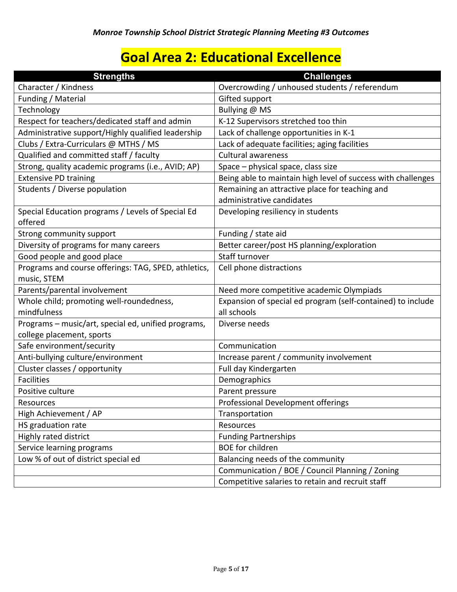# **Goal Area 2: Educational Excellence**

| <b>Strengths</b>                                                                 | <b>Challenges</b>                                            |
|----------------------------------------------------------------------------------|--------------------------------------------------------------|
| Character / Kindness                                                             | Overcrowding / unhoused students / referendum                |
| Funding / Material                                                               | Gifted support                                               |
| Technology                                                                       | Bullying @ MS                                                |
| Respect for teachers/dedicated staff and admin                                   | K-12 Supervisors stretched too thin                          |
| Administrative support/Highly qualified leadership                               | Lack of challenge opportunities in K-1                       |
| Clubs / Extra-Curriculars @ MTHS / MS                                            | Lack of adequate facilities; aging facilities                |
| Qualified and committed staff / faculty                                          | <b>Cultural awareness</b>                                    |
| Strong, quality academic programs (i.e., AVID; AP)                               | Space - physical space, class size                           |
| <b>Extensive PD training</b>                                                     | Being able to maintain high level of success with challenges |
| Students / Diverse population                                                    | Remaining an attractive place for teaching and               |
|                                                                                  | administrative candidates                                    |
| Special Education programs / Levels of Special Ed<br>offered                     | Developing resiliency in students                            |
| Strong community support                                                         | Funding / state aid                                          |
| Diversity of programs for many careers                                           | Better career/post HS planning/exploration                   |
| Good people and good place                                                       | Staff turnover                                               |
| Programs and course offerings: TAG, SPED, athletics,                             | Cell phone distractions                                      |
| music, STEM                                                                      |                                                              |
| Parents/parental involvement                                                     | Need more competitive academic Olympiads                     |
| Whole child; promoting well-roundedness,                                         | Expansion of special ed program (self-contained) to include  |
| mindfulness                                                                      | all schools                                                  |
| Programs - music/art, special ed, unified programs,<br>college placement, sports | Diverse needs                                                |
| Safe environment/security                                                        | Communication                                                |
| Anti-bullying culture/environment                                                | Increase parent / community involvement                      |
| Cluster classes / opportunity                                                    | Full day Kindergarten                                        |
| <b>Facilities</b>                                                                | Demographics                                                 |
| Positive culture                                                                 | Parent pressure                                              |
| Resources                                                                        | Professional Development offerings                           |
| High Achievement / AP                                                            | Transportation                                               |
| HS graduation rate                                                               | Resources                                                    |
| Highly rated district                                                            | <b>Funding Partnerships</b>                                  |
| Service learning programs                                                        | <b>BOE</b> for children                                      |
| Low % of out of district special ed                                              | Balancing needs of the community                             |
|                                                                                  | Communication / BOE / Council Planning / Zoning              |
|                                                                                  | Competitive salaries to retain and recruit staff             |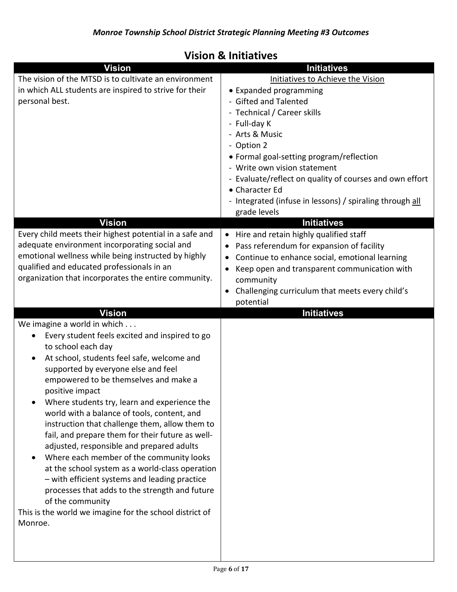# **Vision & Initiatives**

| <b>Vision</b>                                                                                                                                                                                                                                                                                                                                                                                                                                                                                                                                                                                                                                                                                                                                                                                                                | <b>Initiatives</b>                                                                                                                                                                                                                                                                                                                                                                                       |
|------------------------------------------------------------------------------------------------------------------------------------------------------------------------------------------------------------------------------------------------------------------------------------------------------------------------------------------------------------------------------------------------------------------------------------------------------------------------------------------------------------------------------------------------------------------------------------------------------------------------------------------------------------------------------------------------------------------------------------------------------------------------------------------------------------------------------|----------------------------------------------------------------------------------------------------------------------------------------------------------------------------------------------------------------------------------------------------------------------------------------------------------------------------------------------------------------------------------------------------------|
| The vision of the MTSD is to cultivate an environment<br>in which ALL students are inspired to strive for their<br>personal best.                                                                                                                                                                                                                                                                                                                                                                                                                                                                                                                                                                                                                                                                                            | Initiatives to Achieve the Vision<br>• Expanded programming<br>- Gifted and Talented<br>- Technical / Career skills<br>- Full-day K<br>- Arts & Music<br>- Option 2<br>• Formal goal-setting program/reflection<br>- Write own vision statement<br>- Evaluate/reflect on quality of courses and own effort<br>• Character Ed<br>- Integrated (infuse in lessons) / spiraling through all<br>grade levels |
| <b>Vision</b>                                                                                                                                                                                                                                                                                                                                                                                                                                                                                                                                                                                                                                                                                                                                                                                                                | <b>Initiatives</b>                                                                                                                                                                                                                                                                                                                                                                                       |
| Every child meets their highest potential in a safe and<br>adequate environment incorporating social and<br>emotional wellness while being instructed by highly<br>qualified and educated professionals in an<br>organization that incorporates the entire community.                                                                                                                                                                                                                                                                                                                                                                                                                                                                                                                                                        | • Hire and retain highly qualified staff<br>Pass referendum for expansion of facility<br>Continue to enhance social, emotional learning<br>$\bullet$<br>Keep open and transparent communication with<br>$\bullet$<br>community<br>Challenging curriculum that meets every child's<br>potential                                                                                                           |
| <b>Vision</b>                                                                                                                                                                                                                                                                                                                                                                                                                                                                                                                                                                                                                                                                                                                                                                                                                | <b>Initiatives</b>                                                                                                                                                                                                                                                                                                                                                                                       |
| We imagine a world in which<br>Every student feels excited and inspired to go<br>$\bullet$<br>to school each day<br>At school, students feel safe, welcome and<br>supported by everyone else and feel<br>empowered to be themselves and make a<br>positive impact<br>Where students try, learn and experience the<br>world with a balance of tools, content, and<br>instruction that challenge them, allow them to<br>fail, and prepare them for their future as well-<br>adjusted, responsible and prepared adults<br>Where each member of the community looks<br>$\bullet$<br>at the school system as a world-class operation<br>- with efficient systems and leading practice<br>processes that adds to the strength and future<br>of the community<br>This is the world we imagine for the school district of<br>Monroe. |                                                                                                                                                                                                                                                                                                                                                                                                          |
|                                                                                                                                                                                                                                                                                                                                                                                                                                                                                                                                                                                                                                                                                                                                                                                                                              |                                                                                                                                                                                                                                                                                                                                                                                                          |

 $\overline{\phantom{a}}$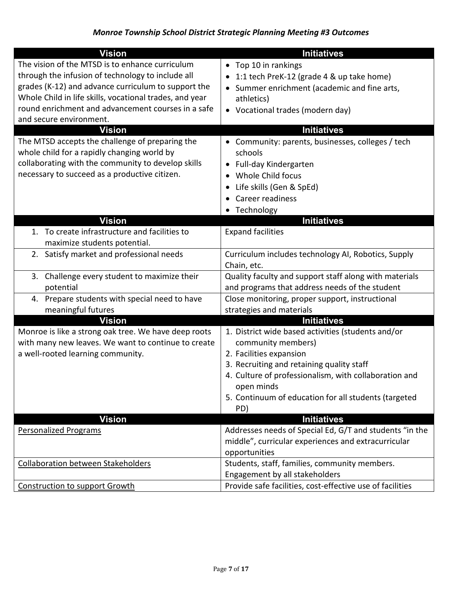| <b>Vision</b>                                           | <b>Initiatives</b>                                                  |
|---------------------------------------------------------|---------------------------------------------------------------------|
| The vision of the MTSD is to enhance curriculum         | • Top 10 in rankings                                                |
| through the infusion of technology to include all       | 1:1 tech PreK-12 (grade 4 & up take home)                           |
| grades (K-12) and advance curriculum to support the     | Summer enrichment (academic and fine arts,                          |
| Whole Child in life skills, vocational trades, and year | athletics)                                                          |
| round enrichment and advancement courses in a safe      | • Vocational trades (modern day)                                    |
| and secure environment.                                 |                                                                     |
| <b>Vision</b>                                           | <b>Initiatives</b>                                                  |
| The MTSD accepts the challenge of preparing the         | • Community: parents, businesses, colleges / tech                   |
| whole child for a rapidly changing world by             | schools                                                             |
| collaborating with the community to develop skills      | • Full-day Kindergarten                                             |
| necessary to succeed as a productive citizen.           | Whole Child focus                                                   |
|                                                         | Life skills (Gen & SpEd)                                            |
|                                                         | Career readiness                                                    |
|                                                         | • Technology                                                        |
| <b>Vision</b>                                           | <b>Initiatives</b>                                                  |
| 1. To create infrastructure and facilities to           | <b>Expand facilities</b>                                            |
| maximize students potential.                            |                                                                     |
| 2. Satisfy market and professional needs                | Curriculum includes technology AI, Robotics, Supply<br>Chain, etc.  |
| 3. Challenge every student to maximize their            | Quality faculty and support staff along with materials              |
| potential                                               | and programs that address needs of the student                      |
| 4. Prepare students with special need to have           | Close monitoring, proper support, instructional                     |
| meaningful futures                                      | strategies and materials                                            |
| <b>Vision</b>                                           | <b>Initiatives</b>                                                  |
| Monroe is like a strong oak tree. We have deep roots    | 1. District wide based activities (students and/or                  |
| with many new leaves. We want to continue to create     | community members)                                                  |
| a well-rooted learning community.                       | 2. Facilities expansion                                             |
|                                                         | 3. Recruiting and retaining quality staff                           |
|                                                         | 4. Culture of professionalism, with collaboration and<br>open minds |
|                                                         | 5. Continuum of education for all students (targeted                |
|                                                         | PD)                                                                 |
| <b>Vision</b>                                           | <b>Initiatives</b>                                                  |
| <b>Personalized Programs</b>                            | Addresses needs of Special Ed, G/T and students "in the             |
|                                                         | middle", curricular experiences and extracurricular                 |
|                                                         | opportunities                                                       |
| <b>Collaboration between Stakeholders</b>               | Students, staff, families, community members.                       |
|                                                         | Engagement by all stakeholders                                      |
| <b>Construction to support Growth</b>                   | Provide safe facilities, cost-effective use of facilities           |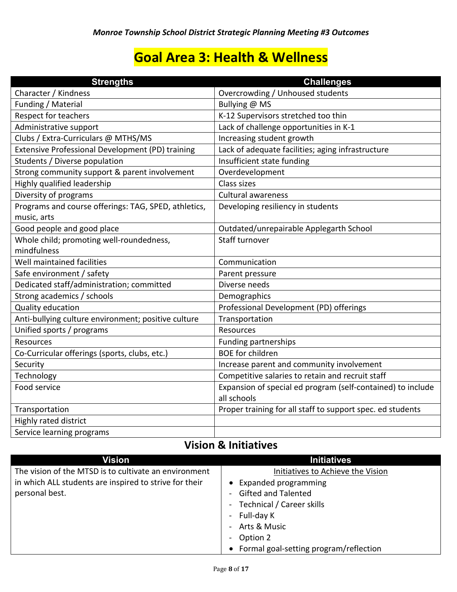# **Goal Area 3: Health & Wellness**

| <b>Strengths</b>                                     | <b>Challenges</b>                                           |
|------------------------------------------------------|-------------------------------------------------------------|
| Character / Kindness                                 | Overcrowding / Unhoused students                            |
| Funding / Material                                   | Bullying @ MS                                               |
| Respect for teachers                                 | K-12 Supervisors stretched too thin                         |
| Administrative support                               | Lack of challenge opportunities in K-1                      |
| Clubs / Extra-Curriculars @ MTHS/MS                  | Increasing student growth                                   |
| Extensive Professional Development (PD) training     | Lack of adequate facilities; aging infrastructure           |
| Students / Diverse population                        | Insufficient state funding                                  |
| Strong community support & parent involvement        | Overdevelopment                                             |
| Highly qualified leadership                          | Class sizes                                                 |
| Diversity of programs                                | <b>Cultural awareness</b>                                   |
| Programs and course offerings: TAG, SPED, athletics, | Developing resiliency in students                           |
| music, arts                                          |                                                             |
| Good people and good place                           | Outdated/unrepairable Applegarth School                     |
| Whole child; promoting well-roundedness,             | Staff turnover                                              |
| mindfulness                                          |                                                             |
| Well maintained facilities                           | Communication                                               |
| Safe environment / safety                            | Parent pressure                                             |
| Dedicated staff/administration; committed            | Diverse needs                                               |
| Strong academics / schools                           | Demographics                                                |
| Quality education                                    | Professional Development (PD) offerings                     |
| Anti-bullying culture environment; positive culture  | Transportation                                              |
| Unified sports / programs                            | Resources                                                   |
| Resources                                            | <b>Funding partnerships</b>                                 |
| Co-Curricular offerings (sports, clubs, etc.)        | <b>BOE</b> for children                                     |
| Security                                             | Increase parent and community involvement                   |
| Technology                                           | Competitive salaries to retain and recruit staff            |
| Food service                                         | Expansion of special ed program (self-contained) to include |
|                                                      | all schools                                                 |
| Transportation                                       | Proper training for all staff to support spec. ed students  |
| Highly rated district                                |                                                             |
| Service learning programs                            |                                                             |

## **Vision & Initiatives**

| Vision                                                 | <b>Initiatives</b>                       |
|--------------------------------------------------------|------------------------------------------|
| The vision of the MTSD is to cultivate an environment  | Initiatives to Achieve the Vision        |
| in which ALL students are inspired to strive for their | <b>Expanded programming</b>              |
| personal best.                                         | <b>Gifted and Talented</b>               |
|                                                        | - Technical / Career skills              |
|                                                        | - Full-day K                             |
|                                                        | - Arts & Music                           |
|                                                        | Option 2                                 |
|                                                        | • Formal goal-setting program/reflection |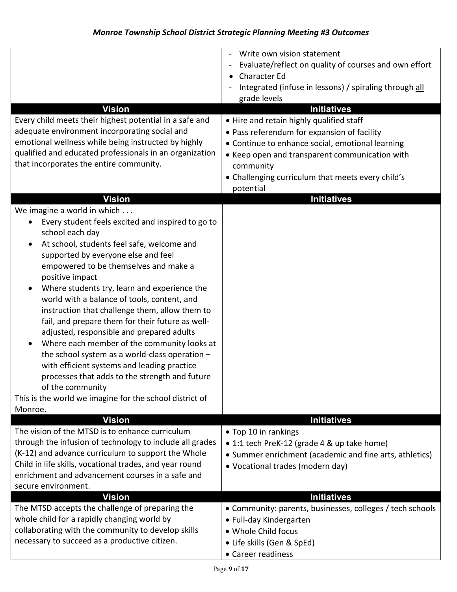| <b>Vision</b>                                                                                                                                                                                                                                                                                                                                                                                                                                                                                                                                                                                                                                                                                                                                                                                | Write own vision statement<br>Evaluate/reflect on quality of courses and own effort<br><b>Character Ed</b><br>Integrated (infuse in lessons) / spiraling through all<br>grade levels<br><b>Initiatives</b>                                                                   |
|----------------------------------------------------------------------------------------------------------------------------------------------------------------------------------------------------------------------------------------------------------------------------------------------------------------------------------------------------------------------------------------------------------------------------------------------------------------------------------------------------------------------------------------------------------------------------------------------------------------------------------------------------------------------------------------------------------------------------------------------------------------------------------------------|------------------------------------------------------------------------------------------------------------------------------------------------------------------------------------------------------------------------------------------------------------------------------|
| Every child meets their highest potential in a safe and<br>adequate environment incorporating social and<br>emotional wellness while being instructed by highly<br>qualified and educated professionals in an organization<br>that incorporates the entire community.                                                                                                                                                                                                                                                                                                                                                                                                                                                                                                                        | . Hire and retain highly qualified staff<br>• Pass referendum for expansion of facility<br>• Continue to enhance social, emotional learning<br>• Keep open and transparent communication with<br>community<br>• Challenging curriculum that meets every child's<br>potential |
| <b>Vision</b>                                                                                                                                                                                                                                                                                                                                                                                                                                                                                                                                                                                                                                                                                                                                                                                | <b>Initiatives</b>                                                                                                                                                                                                                                                           |
| We imagine a world in which<br>Every student feels excited and inspired to go to<br>school each day<br>At school, students feel safe, welcome and<br>supported by everyone else and feel<br>empowered to be themselves and make a<br>positive impact<br>Where students try, learn and experience the<br>world with a balance of tools, content, and<br>instruction that challenge them, allow them to<br>fail, and prepare them for their future as well-<br>adjusted, responsible and prepared adults<br>Where each member of the community looks at<br>٠<br>the school system as a world-class operation -<br>with efficient systems and leading practice<br>processes that adds to the strength and future<br>of the community<br>This is the world we imagine for the school district of |                                                                                                                                                                                                                                                                              |
| Monroe.                                                                                                                                                                                                                                                                                                                                                                                                                                                                                                                                                                                                                                                                                                                                                                                      |                                                                                                                                                                                                                                                                              |
| <b>Vision</b><br>The vision of the MTSD is to enhance curriculum<br>through the infusion of technology to include all grades<br>(K-12) and advance curriculum to support the Whole<br>Child in life skills, vocational trades, and year round<br>enrichment and advancement courses in a safe and<br>secure environment.                                                                                                                                                                                                                                                                                                                                                                                                                                                                     | <b>Initiatives</b><br>• Top 10 in rankings<br>• 1:1 tech PreK-12 (grade 4 & up take home)<br>• Summer enrichment (academic and fine arts, athletics)<br>• Vocational trades (modern day)                                                                                     |
| <b>Vision</b>                                                                                                                                                                                                                                                                                                                                                                                                                                                                                                                                                                                                                                                                                                                                                                                | <b>Initiatives</b>                                                                                                                                                                                                                                                           |
| The MTSD accepts the challenge of preparing the<br>whole child for a rapidly changing world by<br>collaborating with the community to develop skills<br>necessary to succeed as a productive citizen.                                                                                                                                                                                                                                                                                                                                                                                                                                                                                                                                                                                        | • Community: parents, businesses, colleges / tech schools<br>• Full-day Kindergarten<br>• Whole Child focus<br>• Life skills (Gen & SpEd)<br>• Career readiness                                                                                                              |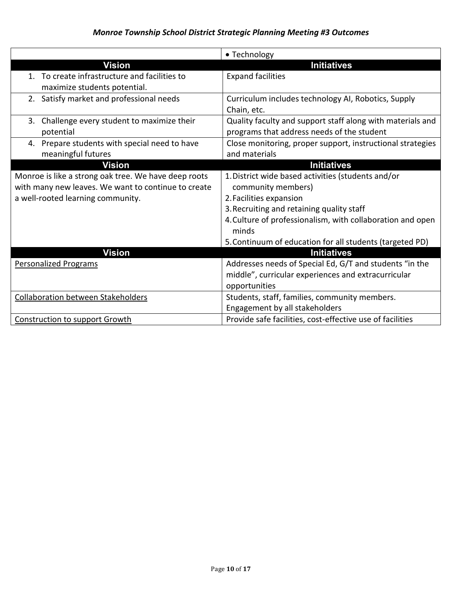|                                                      | • Technology                                               |
|------------------------------------------------------|------------------------------------------------------------|
| <b>Vision</b>                                        | <b>Initiatives</b>                                         |
| 1. To create infrastructure and facilities to        | <b>Expand facilities</b>                                   |
| maximize students potential.                         |                                                            |
| 2. Satisfy market and professional needs             | Curriculum includes technology AI, Robotics, Supply        |
|                                                      | Chain, etc.                                                |
| 3. Challenge every student to maximize their         | Quality faculty and support staff along with materials and |
| potential                                            | programs that address needs of the student                 |
| 4. Prepare students with special need to have        | Close monitoring, proper support, instructional strategies |
| meaningful futures                                   | and materials                                              |
| <b>Vision</b>                                        | <b>Initiatives</b>                                         |
| Monroe is like a strong oak tree. We have deep roots | 1. District wide based activities (students and/or         |
| with many new leaves. We want to continue to create  | community members)                                         |
| a well-rooted learning community.                    | 2. Facilities expansion                                    |
|                                                      | 3. Recruiting and retaining quality staff                  |
|                                                      | 4. Culture of professionalism, with collaboration and open |
|                                                      | minds                                                      |
|                                                      | 5. Continuum of education for all students (targeted PD)   |
| <b>Vision</b>                                        | <b>Initiatives</b>                                         |
| <b>Personalized Programs</b>                         | Addresses needs of Special Ed, G/T and students "in the    |
|                                                      | middle", curricular experiences and extracurricular        |
|                                                      | opportunities                                              |
| <b>Collaboration between Stakeholders</b>            | Students, staff, families, community members.              |
|                                                      | Engagement by all stakeholders                             |
| <b>Construction to support Growth</b>                | Provide safe facilities, cost-effective use of facilities  |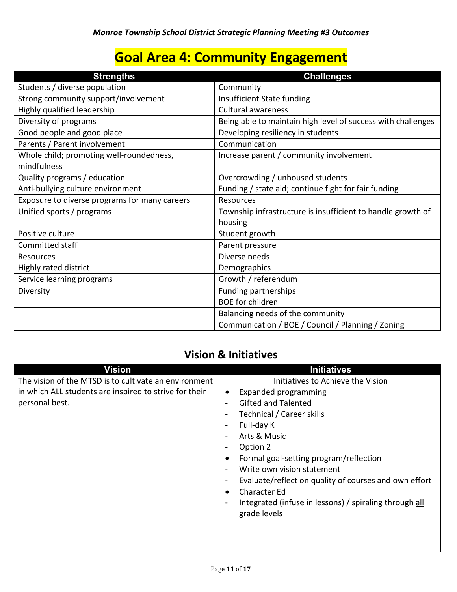# **Goal Area 4: Community Engagement**

| <b>Strengths</b>                                        | <b>Challenges</b>                                            |
|---------------------------------------------------------|--------------------------------------------------------------|
| Students / diverse population                           | Community                                                    |
| Strong community support/involvement                    | Insufficient State funding                                   |
| Highly qualified leadership                             | <b>Cultural awareness</b>                                    |
| Diversity of programs                                   | Being able to maintain high level of success with challenges |
| Good people and good place                              | Developing resiliency in students                            |
| Parents / Parent involvement                            | Communication                                                |
| Whole child; promoting well-roundedness,<br>mindfulness | Increase parent / community involvement                      |
| Quality programs / education                            | Overcrowding / unhoused students                             |
| Anti-bullying culture environment                       | Funding / state aid; continue fight for fair funding         |
| Exposure to diverse programs for many careers           | <b>Resources</b>                                             |
| Unified sports / programs                               | Township infrastructure is insufficient to handle growth of  |
|                                                         | housing                                                      |
| Positive culture                                        | Student growth                                               |
| Committed staff                                         | Parent pressure                                              |
| Resources                                               | Diverse needs                                                |
| Highly rated district                                   | Demographics                                                 |
| Service learning programs                               | Growth / referendum                                          |
| Diversity                                               | <b>Funding partnerships</b>                                  |
|                                                         | <b>BOE</b> for children                                      |
|                                                         | Balancing needs of the community                             |
|                                                         | Communication / BOE / Council / Planning / Zoning            |

## **Vision & Initiatives**

| <b>Vision</b>                                                            | <b>Initiatives</b>                                                                                                                                                                                                                                                      |
|--------------------------------------------------------------------------|-------------------------------------------------------------------------------------------------------------------------------------------------------------------------------------------------------------------------------------------------------------------------|
| The vision of the MTSD is to cultivate an environment                    | Initiatives to Achieve the Vision                                                                                                                                                                                                                                       |
| in which ALL students are inspired to strive for their<br>personal best. | Expanded programming<br>$\bullet$<br><b>Gifted and Talented</b><br>Technical / Career skills<br>Full-day K                                                                                                                                                              |
|                                                                          | Arts & Music<br>Option 2<br>Formal goal-setting program/reflection<br>Write own vision statement<br>Evaluate/reflect on quality of courses and own effort<br><b>Character Ed</b><br>$\bullet$<br>Integrated (infuse in lessons) / spiraling through all<br>grade levels |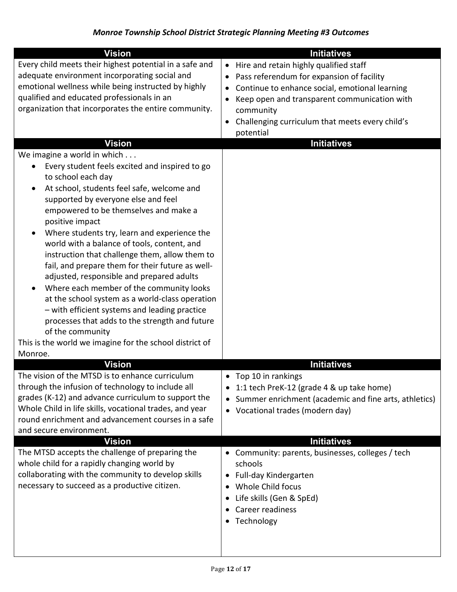| <b>Vision</b>                                                                                                                                                                                                                                                                                                                                                                                                                                                                                                                                                                           | <b>Initiatives</b>                                                                                                                                                                                                                                                                                                   |
|-----------------------------------------------------------------------------------------------------------------------------------------------------------------------------------------------------------------------------------------------------------------------------------------------------------------------------------------------------------------------------------------------------------------------------------------------------------------------------------------------------------------------------------------------------------------------------------------|----------------------------------------------------------------------------------------------------------------------------------------------------------------------------------------------------------------------------------------------------------------------------------------------------------------------|
| Every child meets their highest potential in a safe and<br>adequate environment incorporating social and<br>emotional wellness while being instructed by highly<br>qualified and educated professionals in an<br>organization that incorporates the entire community.<br>Vision<br>We imagine a world in which<br>Every student feels excited and inspired to go<br>$\bullet$<br>to school each day<br>At school, students feel safe, welcome and<br>٠<br>supported by everyone else and feel<br>empowered to be themselves and make a                                                  | • Hire and retain highly qualified staff<br>Pass referendum for expansion of facility<br>$\bullet$<br>Continue to enhance social, emotional learning<br>Keep open and transparent communication with<br>community<br>Challenging curriculum that meets every child's<br>$\bullet$<br>potential<br><b>Initiatives</b> |
| positive impact<br>Where students try, learn and experience the<br>$\bullet$<br>world with a balance of tools, content, and<br>instruction that challenge them, allow them to<br>fail, and prepare them for their future as well-<br>adjusted, responsible and prepared adults<br>Where each member of the community looks<br>$\bullet$<br>at the school system as a world-class operation<br>- with efficient systems and leading practice<br>processes that adds to the strength and future<br>of the community<br>This is the world we imagine for the school district of<br>Monroe. |                                                                                                                                                                                                                                                                                                                      |
| <b>Vision</b>                                                                                                                                                                                                                                                                                                                                                                                                                                                                                                                                                                           | <b>Initiatives</b>                                                                                                                                                                                                                                                                                                   |
| The vision of the MTSD is to enhance curriculum<br>through the infusion of technology to include all<br>grades (K-12) and advance curriculum to support the<br>Whole Child in life skills, vocational trades, and year<br>round enrichment and advancement courses in a safe<br>and secure environment.                                                                                                                                                                                                                                                                                 | Top 10 in rankings<br>٠<br>1:1 tech PreK-12 (grade 4 & up take home)<br>Summer enrichment (academic and fine arts, athletics)<br>$\bullet$<br>• Vocational trades (modern day)                                                                                                                                       |
| <b>Vision</b>                                                                                                                                                                                                                                                                                                                                                                                                                                                                                                                                                                           | <b>Initiatives</b>                                                                                                                                                                                                                                                                                                   |
| The MTSD accepts the challenge of preparing the<br>whole child for a rapidly changing world by<br>collaborating with the community to develop skills<br>necessary to succeed as a productive citizen.                                                                                                                                                                                                                                                                                                                                                                                   | • Community: parents, businesses, colleges / tech<br>schools<br>Full-day Kindergarten<br>Whole Child focus<br>Life skills (Gen & SpEd)<br>Career readiness<br>Technology                                                                                                                                             |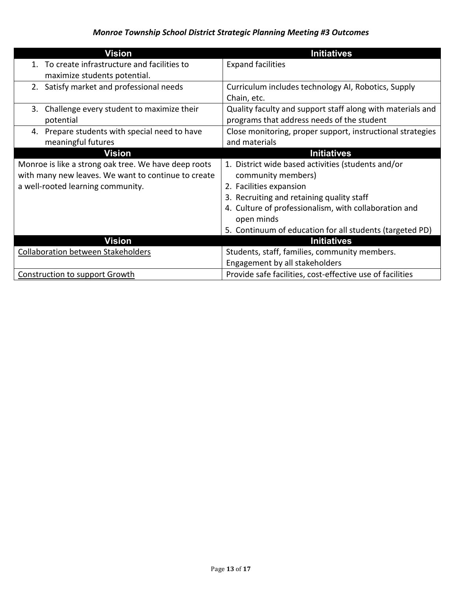| Vision                                               | <b>Initiatives</b>                                         |
|------------------------------------------------------|------------------------------------------------------------|
| 1. To create infrastructure and facilities to        | <b>Expand facilities</b>                                   |
| maximize students potential.                         |                                                            |
| 2. Satisfy market and professional needs             | Curriculum includes technology AI, Robotics, Supply        |
|                                                      | Chain, etc.                                                |
| Challenge every student to maximize their<br>3.      | Quality faculty and support staff along with materials and |
| potential                                            | programs that address needs of the student                 |
| 4. Prepare students with special need to have        | Close monitoring, proper support, instructional strategies |
| meaningful futures                                   | and materials                                              |
| <b>Vision</b>                                        | <b>Initiatives</b>                                         |
| Monroe is like a strong oak tree. We have deep roots | 1. District wide based activities (students and/or         |
| with many new leaves. We want to continue to create  | community members)                                         |
| a well-rooted learning community.                    | 2. Facilities expansion                                    |
|                                                      | 3. Recruiting and retaining quality staff                  |
|                                                      | 4. Culture of professionalism, with collaboration and      |
|                                                      | open minds                                                 |
|                                                      | 5. Continuum of education for all students (targeted PD)   |
| <b>Vision</b>                                        | <b>Initiatives</b>                                         |
| <b>Collaboration between Stakeholders</b>            | Students, staff, families, community members.              |
|                                                      | Engagement by all stakeholders                             |
| <b>Construction to support Growth</b>                | Provide safe facilities, cost-effective use of facilities  |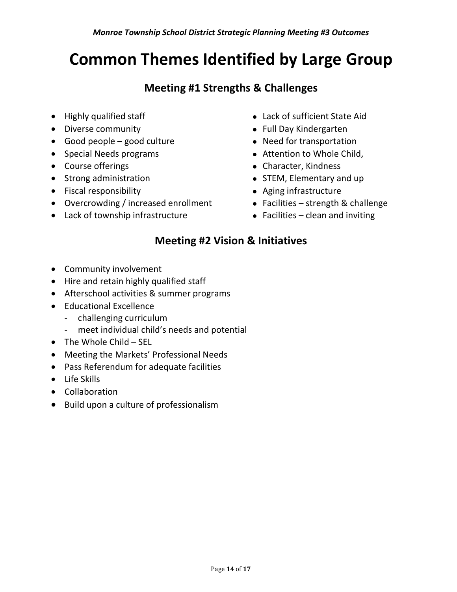# **Common Themes Identified by Large Group**

## **Meeting #1 Strengths & Challenges**

- 
- 
- Good people good culture **and the Second Property** Peed for transportation
- 
- 
- 
- Fiscal responsibility **Aging infrastructure Aging infrastructure**
- Overcrowding / increased enrollment Facilities strength & challenge
- Lack of township infrastructure Facilities clean and inviting
- Highly qualified staff Lack of sufficient State Aid
- Diverse community **Example 20 Full Day Kindergarten** 
	-
- Special Needs programs **Conserversity** Attention to Whole Child,
- Course offerings **Course of Executive Character**, Kindness
- Strong administration **Constructs CO** STEM, Elementary and up
	-
	-
	-

## **Meeting #2 Vision & Initiatives**

- Community involvement
- Hire and retain highly qualified staff
- Afterschool activities & summer programs
- Educational Excellence
	- challenging curriculum
	- meet individual child's needs and potential
- $\bullet$  The Whole Child SEL
- Meeting the Markets' Professional Needs
- Pass Referendum for adequate facilities
- Life Skills
- Collaboration
- Build upon a culture of professionalism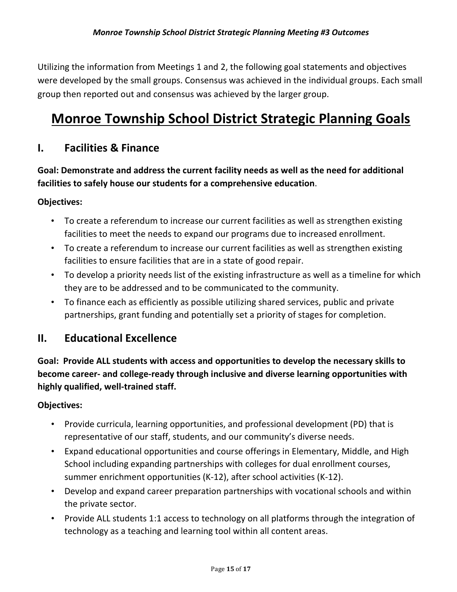Utilizing the information from Meetings 1 and 2, the following goal statements and objectives were developed by the small groups. Consensus was achieved in the individual groups. Each small group then reported out and consensus was achieved by the larger group.

# **Monroe Township School District Strategic Planning Goals**

### **I. Facilities & Finance**

**Goal: Demonstrate and address the current facility needs as well as the need for additional facilities to safely house our students for a comprehensive education**.

#### **Objectives:**

- To create a referendum to increase our current facilities as well as strengthen existing facilities to meet the needs to expand our programs due to increased enrollment.
- To create a referendum to increase our current facilities as well as strengthen existing facilities to ensure facilities that are in a state of good repair.
- To develop a priority needs list of the existing infrastructure as well as a timeline for which they are to be addressed and to be communicated to the community.
- To finance each as efficiently as possible utilizing shared services, public and private partnerships, grant funding and potentially set a priority of stages for completion.

### **II. Educational Excellence**

**Goal: Provide ALL students with access and opportunities to develop the necessary skills to become career- and college-ready through inclusive and diverse learning opportunities with highly qualified, well-trained staff.**

#### **Objectives:**

- Provide curricula, learning opportunities, and professional development (PD) that is representative of our staff, students, and our community's diverse needs.
- Expand educational opportunities and course offerings in Elementary, Middle, and High School including expanding partnerships with colleges for dual enrollment courses, summer enrichment opportunities (K-12), after school activities (K-12).
- Develop and expand career preparation partnerships with vocational schools and within the private sector.
- Provide ALL students 1:1 access to technology on all platforms through the integration of technology as a teaching and learning tool within all content areas.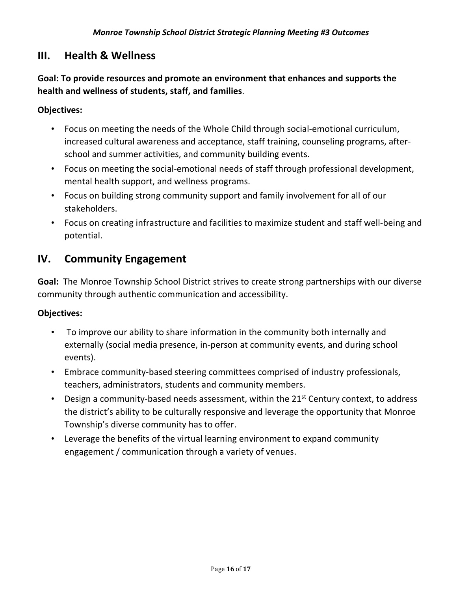### **III. Health & Wellness**

**Goal: To provide resources and promote an environment that enhances and supports the health and wellness of students, staff, and families**.

#### **Objectives:**

- Focus on meeting the needs of the Whole Child through social-emotional curriculum, increased cultural awareness and acceptance, staff training, counseling programs, afterschool and summer activities, and community building events.
- Focus on meeting the social-emotional needs of staff through professional development, mental health support, and wellness programs.
- Focus on building strong community support and family involvement for all of our stakeholders.
- Focus on creating infrastructure and facilities to maximize student and staff well-being and potential.

### **IV. Community Engagement**

**Goal:** The Monroe Township School District strives to create strong partnerships with our diverse community through authentic communication and accessibility.

#### **Objectives:**

- To improve our ability to share information in the community both internally and externally (social media presence, in-person at community events, and during school events).
- Embrace community-based steering committees comprised of industry professionals, teachers, administrators, students and community members.
- Design a community-based needs assessment, within the  $21^{st}$  Century context, to address the district's ability to be culturally responsive and leverage the opportunity that Monroe Township's diverse community has to offer.
- Leverage the benefits of the virtual learning environment to expand community engagement / communication through a variety of venues.